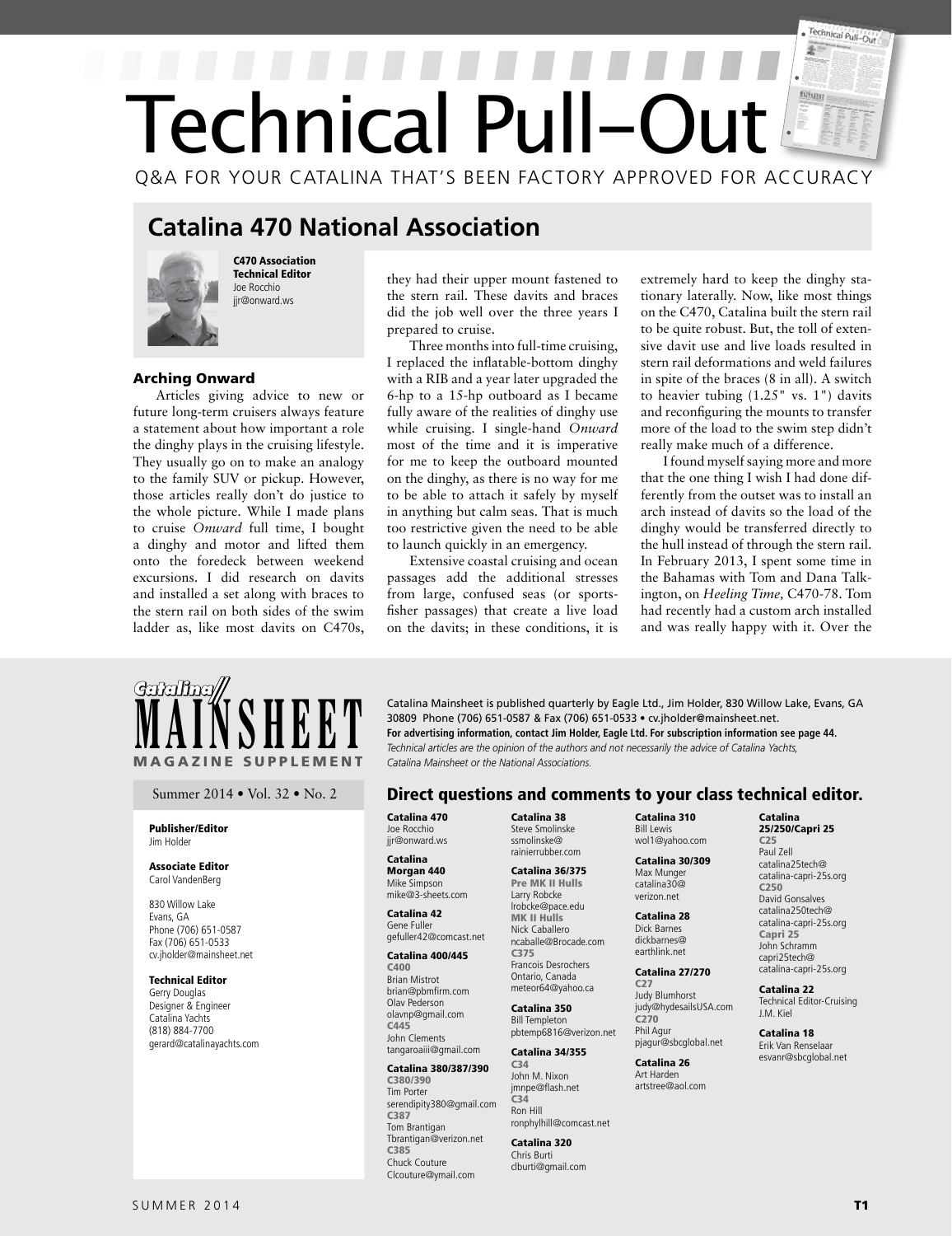# Technical Pull-Out  $\mathbb{F}$ Technical Pull-Ou Q&A FOR YOUR CATALINA THAT'S BEEN FACTORY APPROVED FOR ACCURACY

## **Catalina 470 National Association**



C470 Association Technical Editor Joe Rocchio jir@onward.ws

## Arching Onward

Articles giving advice to new or future long-term cruisers always feature a statement about how important a role the dinghy plays in the cruising lifestyle. They usually go on to make an analogy to the family SUV or pickup. However, those articles really don't do justice to the whole picture. While I made plans to cruise *Onward* full time, I bought a dinghy and motor and lifted them onto the foredeck between weekend excursions. I did research on davits and installed a set along with braces to the stern rail on both sides of the swim ladder as, like most davits on C470s, they had their upper mount fastened to the stern rail. These davits and braces did the job well over the three years I prepared to cruise.

Three months into full-time cruising, I replaced the inflatable-bottom dinghy with a RIB and a year later upgraded the 6-hp to a 15-hp outboard as I became fully aware of the realities of dinghy use while cruising. I single-hand *Onward* most of the time and it is imperative for me to keep the outboard mounted on the dinghy, as there is no way for me to be able to attach it safely by myself in anything but calm seas. That is much too restrictive given the need to be able to launch quickly in an emergency.

Extensive coastal cruising and ocean passages add the additional stresses from large, confused seas (or sportsfisher passages) that create a live load on the davits; in these conditions, it is extremely hard to keep the dinghy stationary laterally. Now, like most things on the C470, Catalina built the stern rail to be quite robust. But, the toll of extensive davit use and live loads resulted in stern rail deformations and weld failures in spite of the braces (8 in all). A switch to heavier tubing (1.25" vs. 1") davits and reconfiguring the mounts to transfer more of the load to the swim step didn't really make much of a difference.

I found myself saying more and more that the one thing I wish I had done differently from the outset was to install an arch instead of davits so the load of the dinghy would be transferred directly to the hull instead of through the stern rail. In February 2013, I spent some time in the Bahamas with Tom and Dana Talkington, on *Heeling Time,* C470-78. Tom had recently had a custom arch installed and was really happy with it. Over the



## Publisher/Editor Jim Holder

## Associate Editor Carol VandenBerg

830 Willow Lake Evans, GA Phone (706) 651-0587 Fax (706) 651-0533 cv.jholder@mainsheet.net

## Technical Editor

Gerry Douglas Designer & Engineer Catalina Yachts (818) 884-7700 gerard@catalinayachts.com

**MAINSHEET** Catalina Mainsheet is published quarterly by Eagle Ltd., Jim Holder, 830 Willow Lake, Evans, GA 30809 Phone (706) 651-0587 & Fax (706) 651-0533 • cv.jholder@mainsheet.net.<br>For advertising information, contact J 30809 Phone (706) 651-0587 & Fax (706) 651-0533 • cv.jholder@mainsheet.net. **For advertising information, contact Jim Holder, Eagle Ltd. For subscription information see page 44.** *Catalina Mainsheet or the National Associations.* 

## Summer 2014 • Vol. 32 • No. 2 **Direct questions and comments to your class technical editor.**

Catalina 470 Joe Rocchio jir@onward.ws

### Catalina Morgan 440 Mike Simpson mike@3-sheets.com

Catalina 42 Gene Fuller gefuller42@comcast.net

## Catalina 400/445

C400 Brian Mistrot brian@pbmfirm.com Olav Pederson olavnp@gmail.com C445 John Clements

## tangaroaiii@gmail.com Catalina 380/387/390

C380/390 Tim Porter serendipity380@gmail.com C387 Tom Brantigan Tbrantigan@verizon.net C385 Chuck Couture Clcouture@ymail.com

Catalina 38 Steve Smolinske ssmolinske@ rainierrubber.com

### Catalina 36/375 Pre MK II Hulls Larry Robcke

lrobcke@pace.edu MK II Hulls Nick Caballero ncaballe@Brocade.com

C375 Francois Desrochers Ontario, Canada meteor64@yahoo.ca

#### Catalina 350 Bill Templeton pbtemp6816@verizon.net

Catalina 34/355

#### C34 John M. Nixon jmnpe@flash.net  $C<sub>34</sub>$ Ron Hill ronphylhill@comcast.net

Catalina 320 Chris Burti clburti@gmail.com Catalina 310 Bill Lewis wol1@yahoo.com

 Catalina 30/309 Max Munger catalina30@ verizon.net

Catalina 28 Dick Barnes dickbarnes@ earthlink.net

#### Catalina 27/270 C27

Judy Blumhorst judy@hydesailsUSA.com C270 Phil Agur pjagur@sbcglobal.net

Catalina 26 Art Harden artstree@aol.com

## Catalina 25/250/Capri 25

C25 Paul Zell catalina25tech@ catalina-capri-25s.org C250 David Gonsalves catalina250tech@ catalina-capri-25s.org Capri 25 John Schramm capri25tech@ catalina-capri-25s.org

Catalina 22 Technical Editor-Cruising J.M. Kiel

Catalina 18 Erik Van Renselaar esvanr@sbcglobal.net